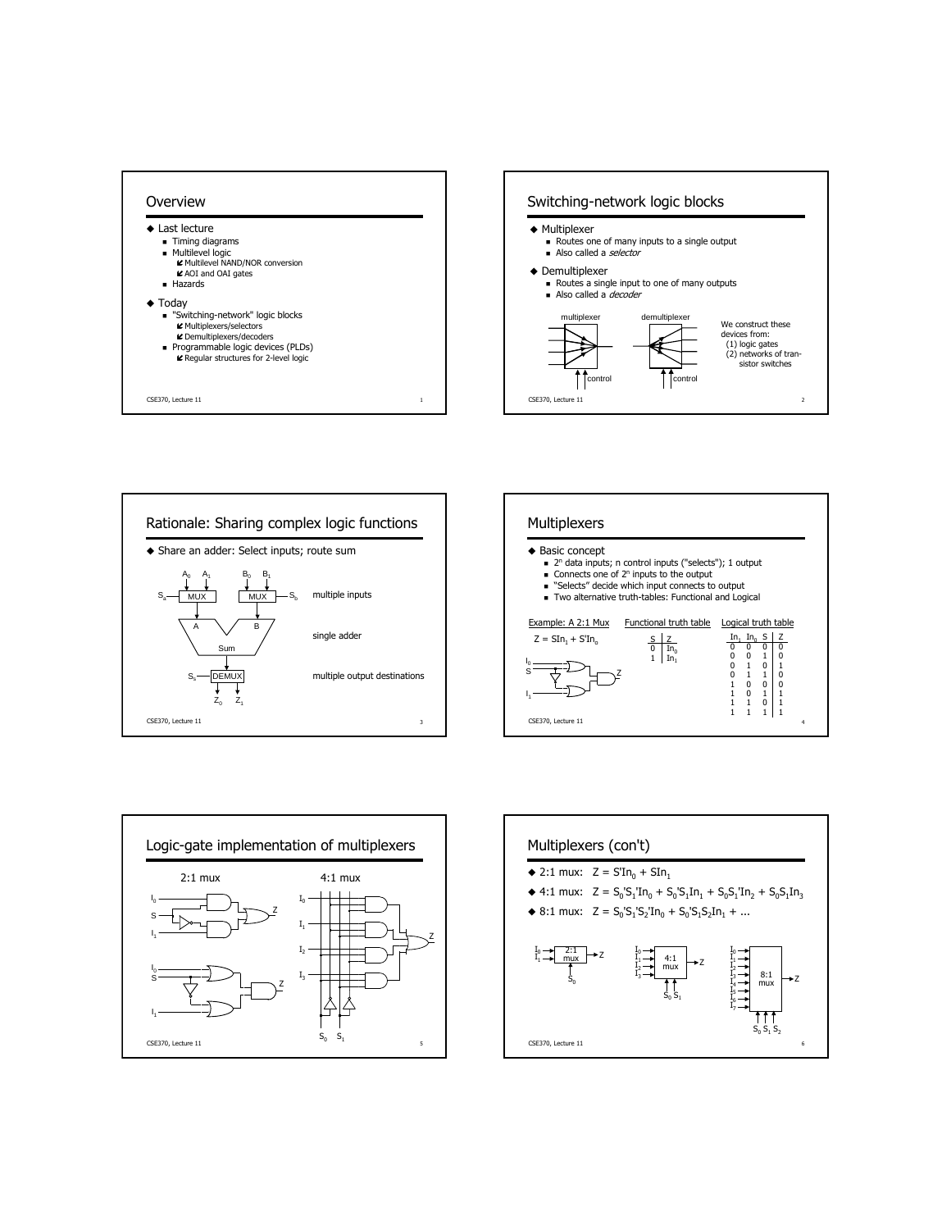









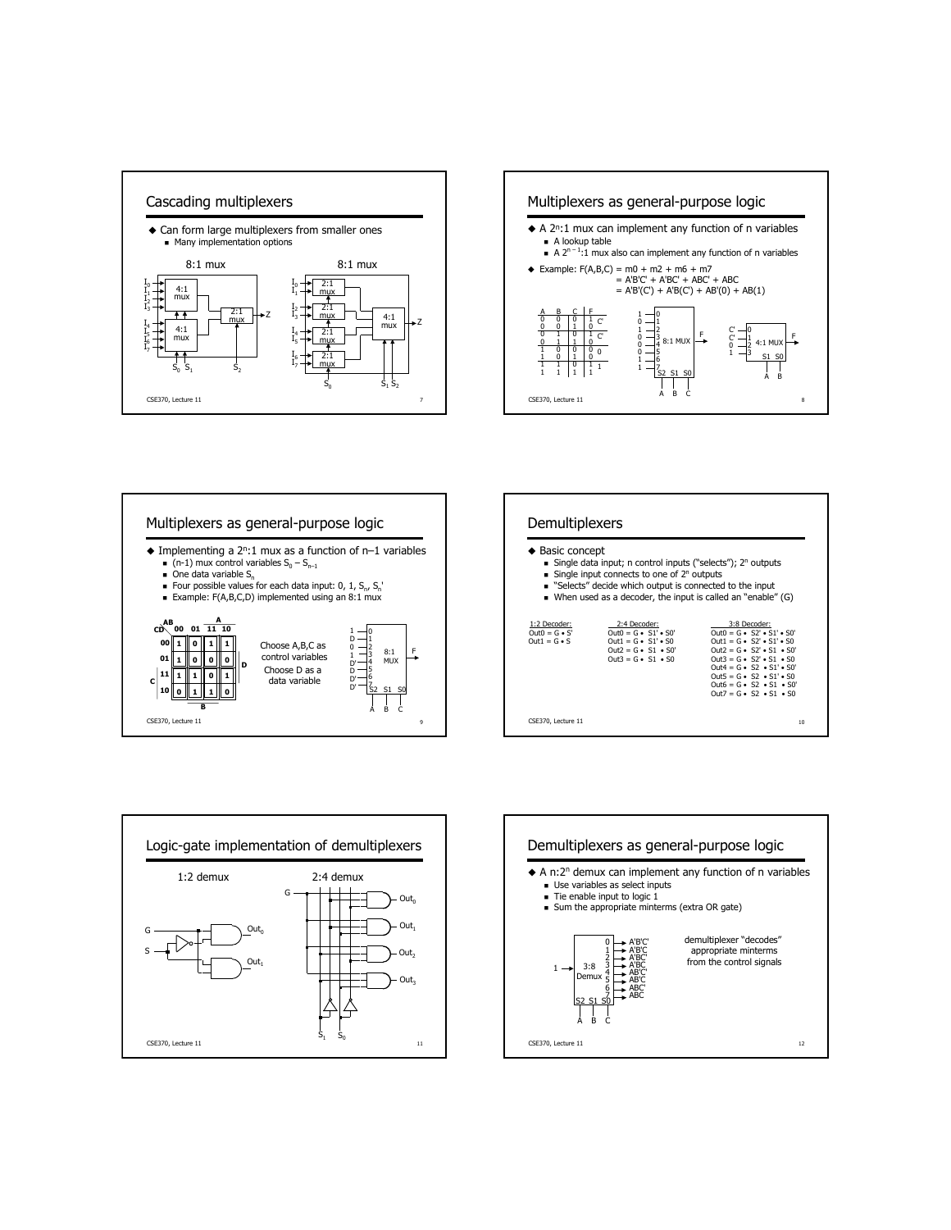